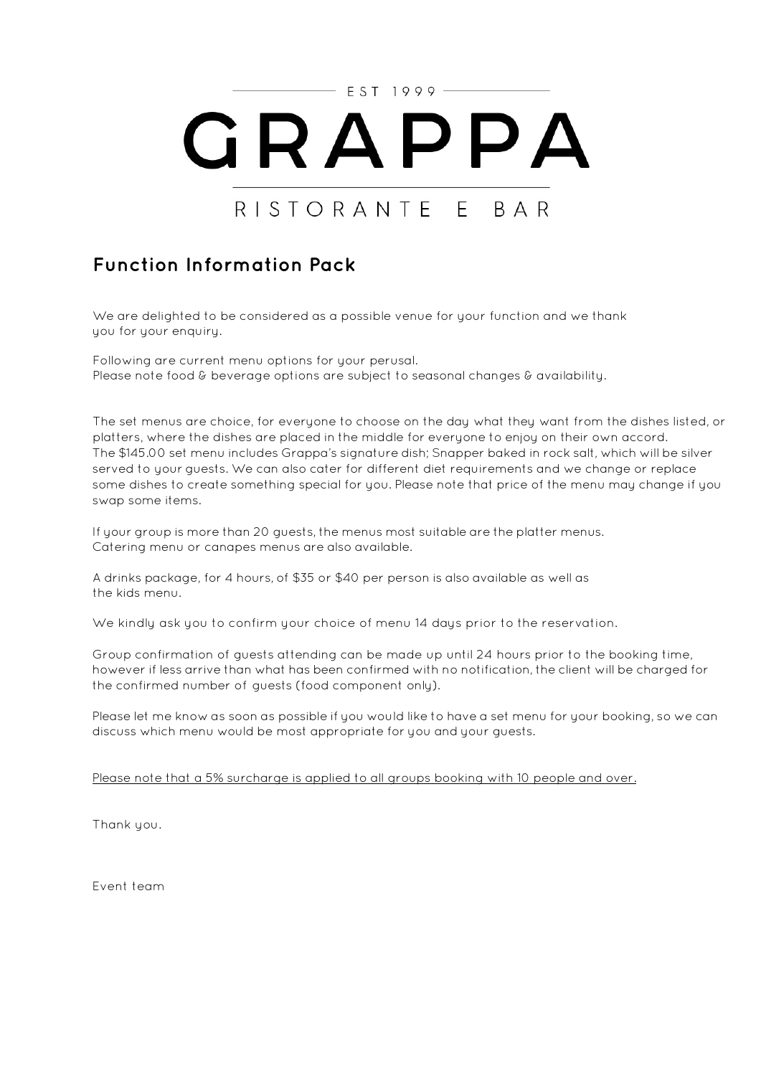

# **Function Information Pack**

We are delighted to be considered as a possible venue for your function and we thank you for your enquiry.

Following are current menu options for your perusal. Please note food & beverage options are subject to seasonal changes & availability.

The set menus are choice, for everyone to choose on the day what they want from the dishes listed, or platters, where the dishes are placed in the middle for everyone to enjoy on their own accord. The \$145.00 set menu includes Grappa's signature dish; Snapper baked in rock salt, which will be silver served to your guests. We can also cater for different diet requirements and we change or replace some dishes to create something special for you. Please note that price of the menu may change if you swap some items.

If your group is more than 20 guests, the menus most suitable are the platter menus. Catering menu or canapes menus are also available.

A drinks package, for 4 hours, of \$35 or \$40 per person is also available as well as the kids menu.

We kindly ask you to confirm your choice of menu 14 days prior to the reservation.

Group confirmation of guests attending can be made up until 24 hours prior to the booking time, however if less arrive than what has been confirmed with no notification, the client will be charged for the confirmed number of guests (food component only).

Please let me know as soon as possible if you would like to have a set menu for your booking, so we can discuss which menu would be most appropriate for you and your guests.

Please note that a 5% surcharge is applied to all groups booking with 10 people and over.

Thank you.

Event team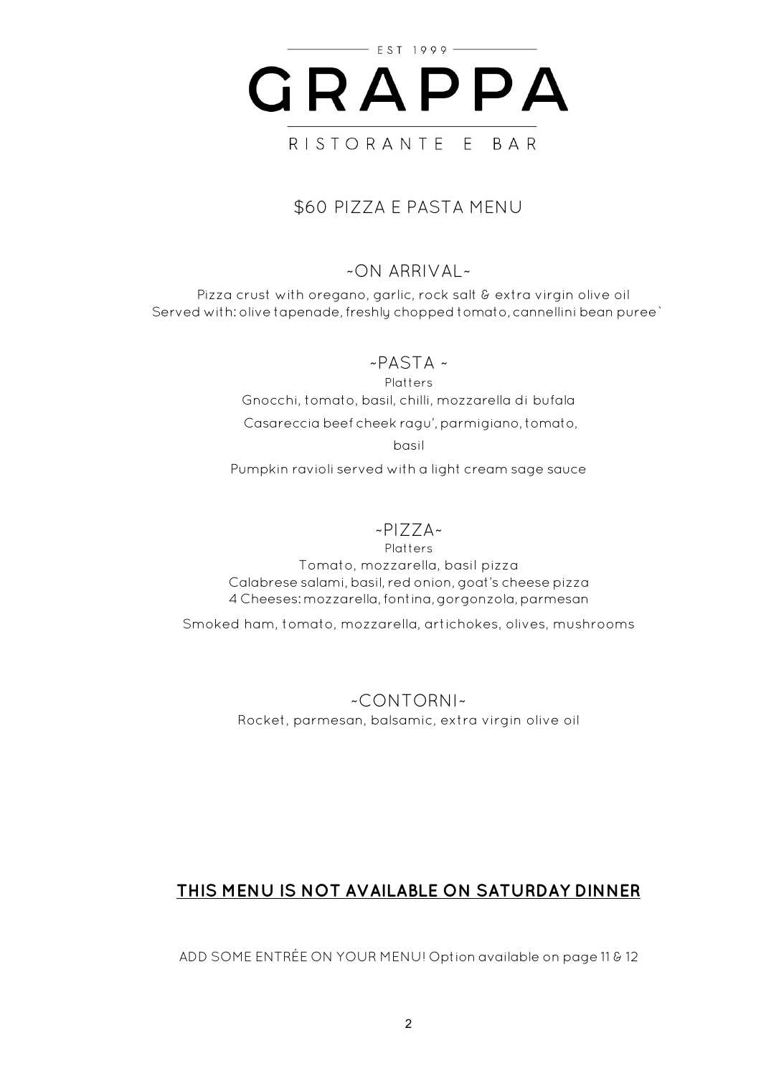

# \$60 PIZZA E PASTA MENU

## $~\sim$ ON ARRIVAL $~\sim$

Pizza crust with oregano, garlic, rock salt & extra virgin olive oil Served with: olive tapenade, freshly chopped tomato, cannellini bean puree`

 $~\sim$ PASTA  $~\sim$ 

Platters Gnocchi, tomato, basil, chilli, mozzarella di bufala

Casareccia beef cheek ragu',parmigiano, tomato,

basil

Pumpkin ravioli served with a light cream sage sauce

## ~PIZZA~

**Platters** Tomato, mozzarella, basil pizza Calabrese salami, basil, red onion, goat's cheese pizza 4 Cheeses: mozzarella, fontina, gorgonzola, parmesan

Smoked ham, tomato, mozzarella, artichokes, olives, mushrooms

~CONTORNI~ Rocket, parmesan, balsamic, extra virgin olive oil

# **THIS MENU IS NOT AVAILABLE ON SATURDAY DINNER**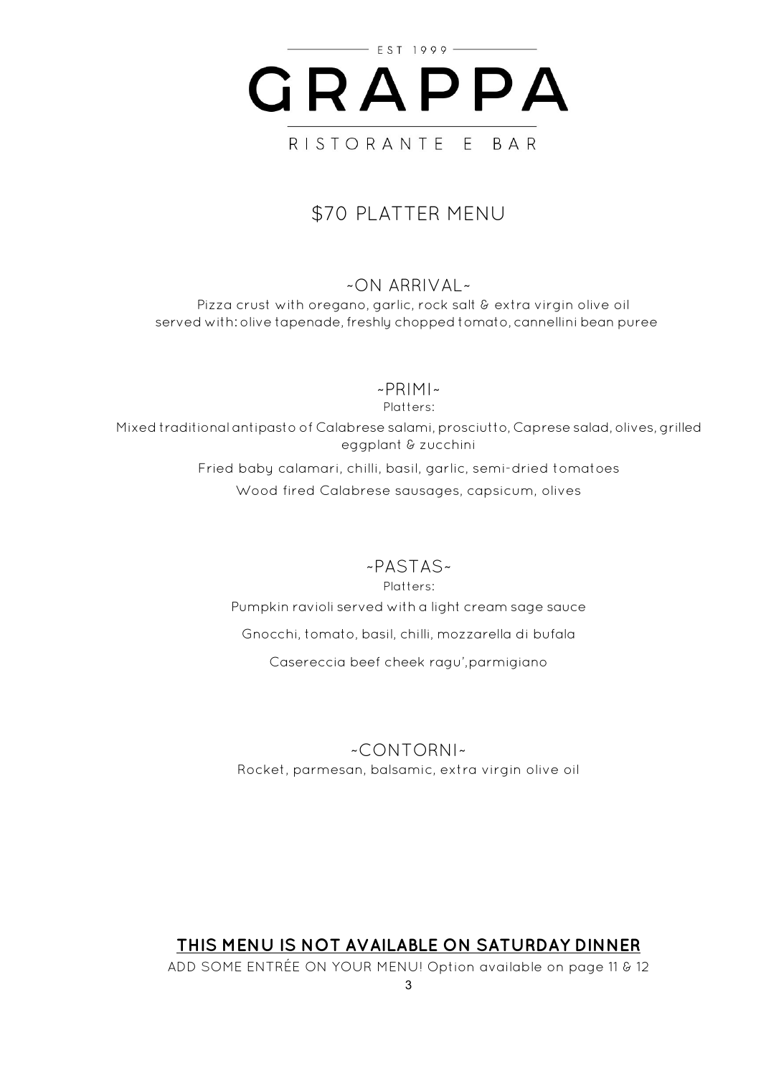

# \$70 PLATTER MENU

### $~\sim$ ON ARRIVAL $~\sim$

Pizza crust with oregano, garlic, rock salt & extra virgin olive oil served with: olive tapenade, freshly chopped tomato, cannellini bean puree

~PRIMI~

Platters: Mixed traditional antipasto of Calabrese salami, prosciutto, Caprese salad, olives,grilled eggplant & zucchini

Fried baby calamari, chilli, basil, garlic, semi-dried tomatoes Wood fired Calabrese sausages, capsicum, olives

~PASTAS~

Platters: Pumpkin ravioli served with a light cream sage sauce Gnocchi, tomato, basil, chilli, mozzarella di bufala Casereccia beef cheek ragu',parmigiano

~CONTORNI~ Rocket, parmesan, balsamic, extra virgin olive oil

# **THIS MENU IS NOT AVAILABLE ON SATURDAY DINNER**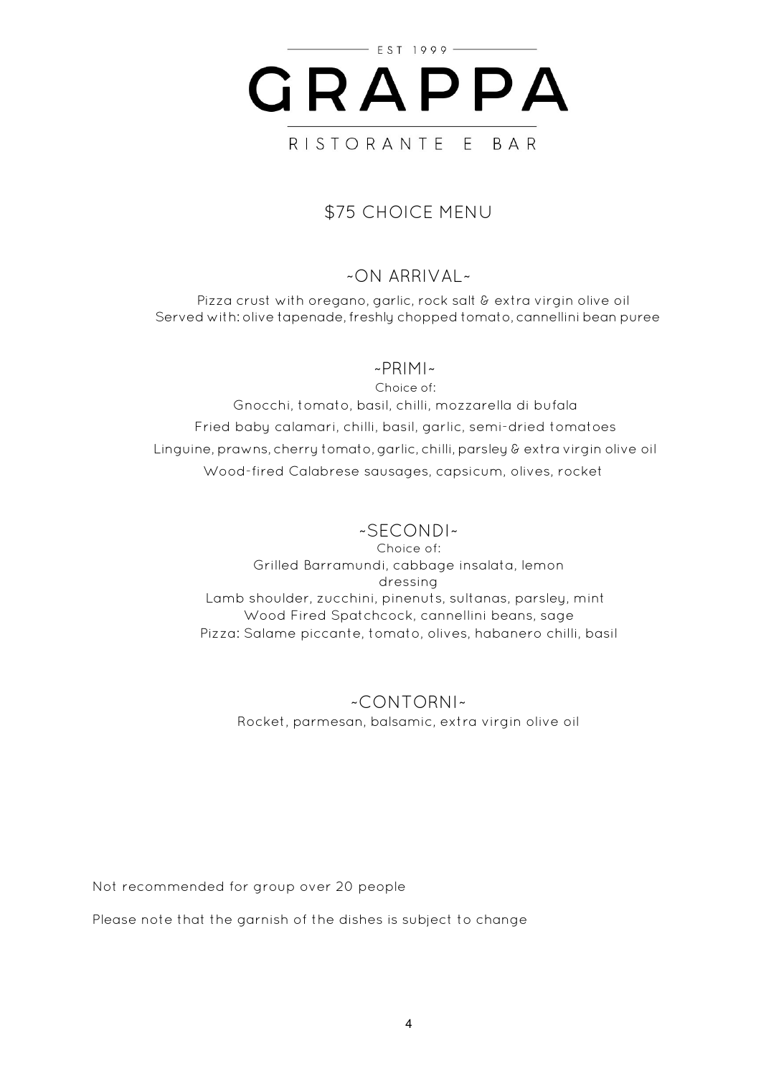

# \$75 CHOICE MENU

## $~\sim$  ON ARRIVAL  $~\sim$

Pizza crust with oregano, garlic, rock salt & extra virgin olive oil Served with: olive tapenade, freshly chopped tomato, cannellini bean puree

#### ~PRIMI~

Choice of: Gnocchi, tomato, basil, chilli, mozzarella di bufala Fried baby calamari, chilli, basil, garlic, semi-dried tomatoes Linguine, prawns, cherry tomato,garlic, chilli, parsley & extra virgin olive oil Wood-fired Calabrese sausages, capsicum, olives, rocket

## ~SECONDI~

Choice of: Grilled Barramundi, cabbage insalata, lemon dressing Lamb shoulder, zucchini, pinenuts, sultanas, parsley, mint Wood Fired Spatchcock, cannellini beans, sage Pizza: Salame piccante, tomato, olives, habanero chilli, basil

#### ~CONTORNI~ Rocket, parmesan, balsamic, extra virgin olive oil

Not recommended for group over 20 people

Please note that the garnish of the dishes is subject to change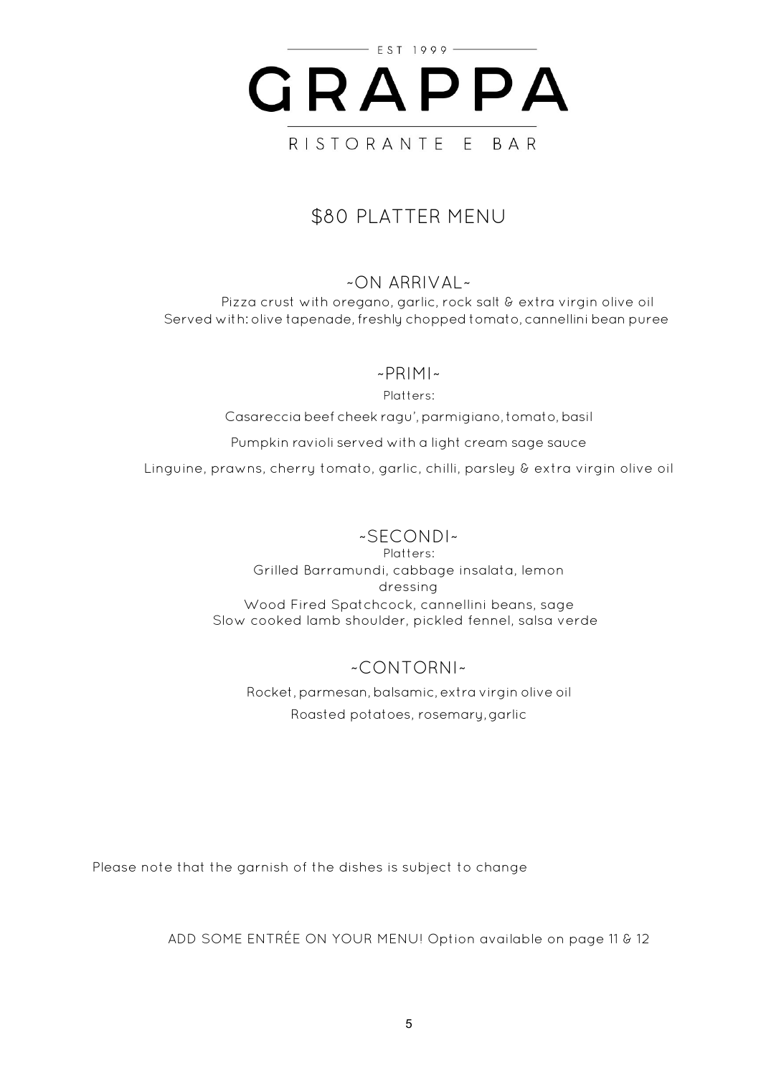

# \$80 PLATTER MENU

#### ~ON ARRIVAL~

Pizza crust with oregano, garlic, rock salt & extra virgin olive oil Served with: olive tapenade, freshly chopped tomato, cannellini bean puree

#### $~\sim$ PRIMI $~\sim$

Platters:

Casareccia beef cheek ragu', parmigiano, tomato, basil

Pumpkin ravioli served with a light cream sage sauce

Linguine, prawns, cherry tomato, garlic, chilli, parsley & extra virgin olive oil

#### ~SECONDI~

Platters: Grilled Barramundi, cabbage insalata, lemon dressing Wood Fired Spatchcock, cannellini beans, sage Slow cooked lamb shoulder, pickled fennel, salsa verde

## ~CONTORNI~

Rocket,parmesan,balsamic, extra virgin olive oil Roasted potatoes, rosemary,garlic

Please note that the garnish of the dishes is subject to change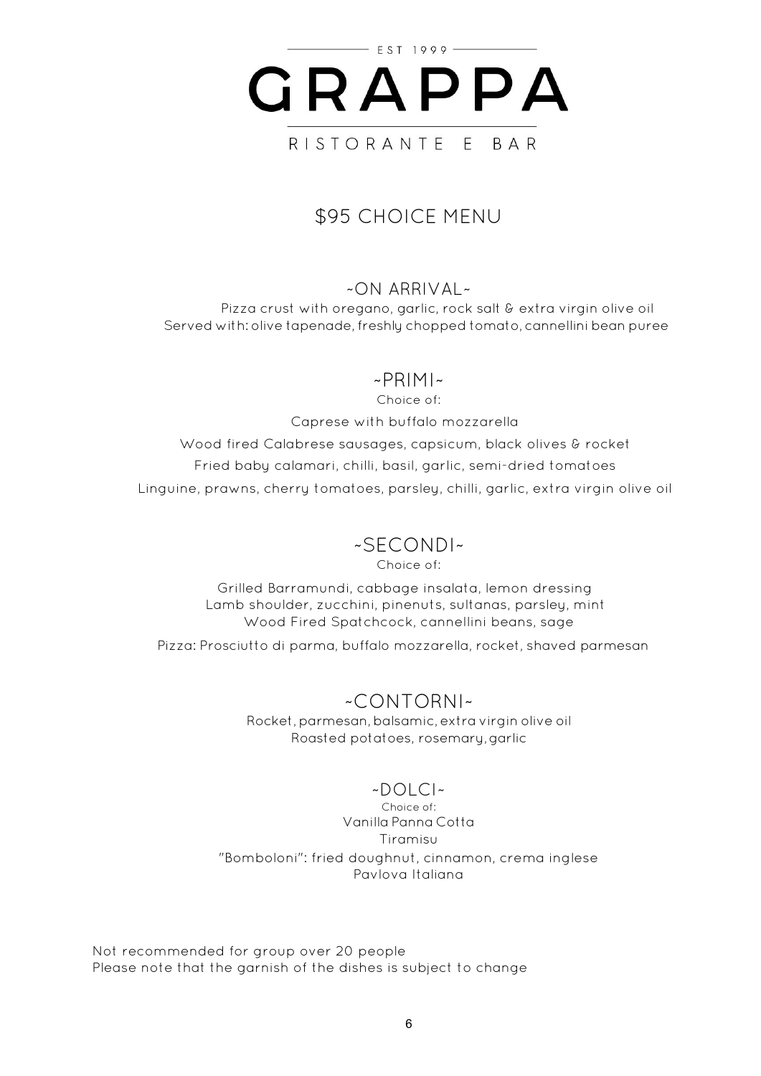

# \$95 CHOICE MENU

#### $~\sim$ ON ARRIVAL $~\sim$

Pizza crust with oregano, garlic, rock salt & extra virgin olive oil Served with: olive tapenade, freshly chopped tomato, cannellini bean puree

#### ~PRIMI~

Choice of:

Caprese with buffalo mozzarella

Wood fired Calabrese sausages, capsicum, black olives & rocket Fried baby calamari, chilli, basil, garlic, semi-dried tomatoes Linguine, prawns, cherry tomatoes, parsley, chilli, garlic, extra virgin olive oil

# ~SECONDI~

Choice of:

Grilled Barramundi, cabbage insalata, lemon dressing Lamb shoulder, zucchini, pinenuts, sultanas, parsley, mint Wood Fired Spatchcock, cannellini beans, sage

Pizza: Prosciutto di parma, buffalo mozzarella, rocket, shaved parmesan

## ~CONTORNI~

Rocket,parmesan,balsamic, extra virgin olive oil Roasted potatoes, rosemary,garlic

## $\sim$ DOLCI $\sim$

Choice of: Vanilla Panna Cotta Tiramisu "Bomboloni": fried doughnut, cinnamon, crema inglese Pavlova Italiana

Not recommended for group over 20 people Please note that the garnish of the dishes is subject to change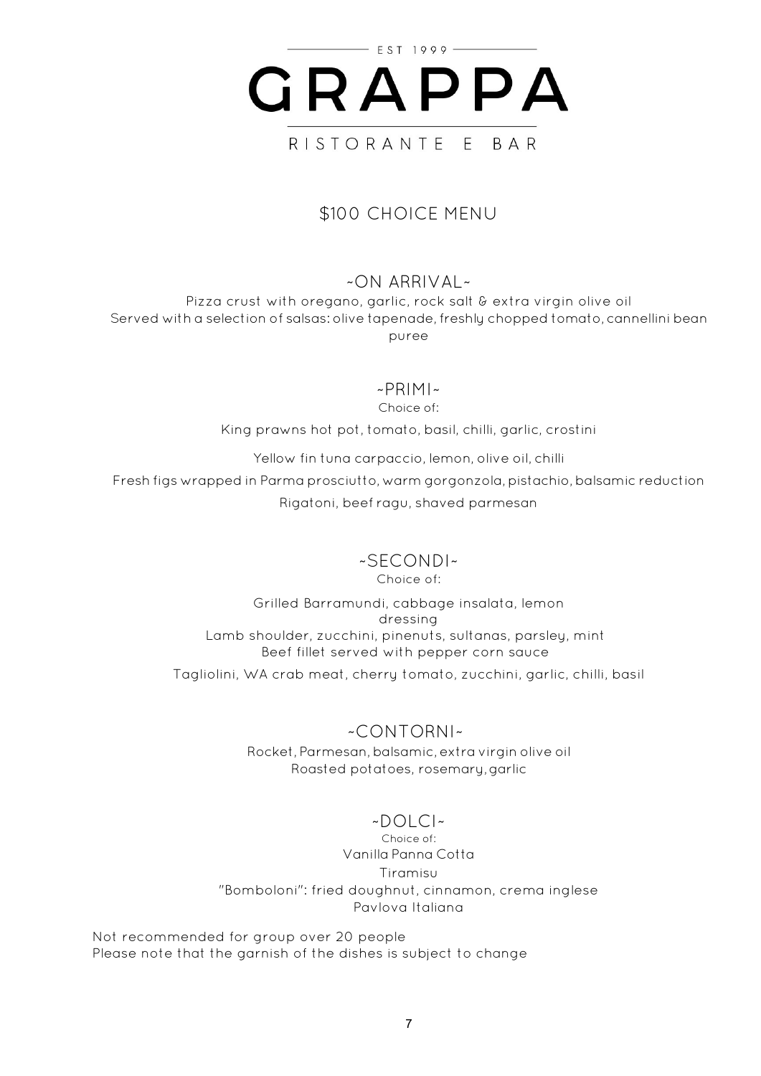

## \$100 CHOICE MENU

#### ~ON ARRIVAL~

Pizza crust with oregano, garlic, rock salt & extra virgin olive oil Served with a selection of salsas: olive tapenade, freshly chopped tomato, cannellini bean puree

#### ~PRIMI~

Choice of:

King prawns hot pot, tomato, basil, chilli, garlic, crostini

Yellow fin tuna carpaccio, lemon, olive oil, chilli

Fresh figs wrapped in Parma prosciutto, warm gorgonzola, pistachio, balsamic reduction Rigatoni, beef ragu, shaved parmesan

# ~SECONDI~

Choice of:

Grilled Barramundi, cabbage insalata, lemon dressing Lamb shoulder, zucchini, pinenuts, sultanas, parsley, mint Beef fillet served with pepper corn sauce Tagliolini, WA crab meat, cherry tomato, zucchini, garlic, chilli, basil

> ~CONTORNI~ Rocket, Parmesan, balsamic, extra virgin olive oil Roasted potatoes, rosemary,garlic

#### $-DOLC$

Choice of: Vanilla Panna Cotta Tiramisu "Bomboloni": fried doughnut, cinnamon, crema inglese Pavlova Italiana

Not recommended for group over 20 people Please note that the garnish of the dishes is subject to change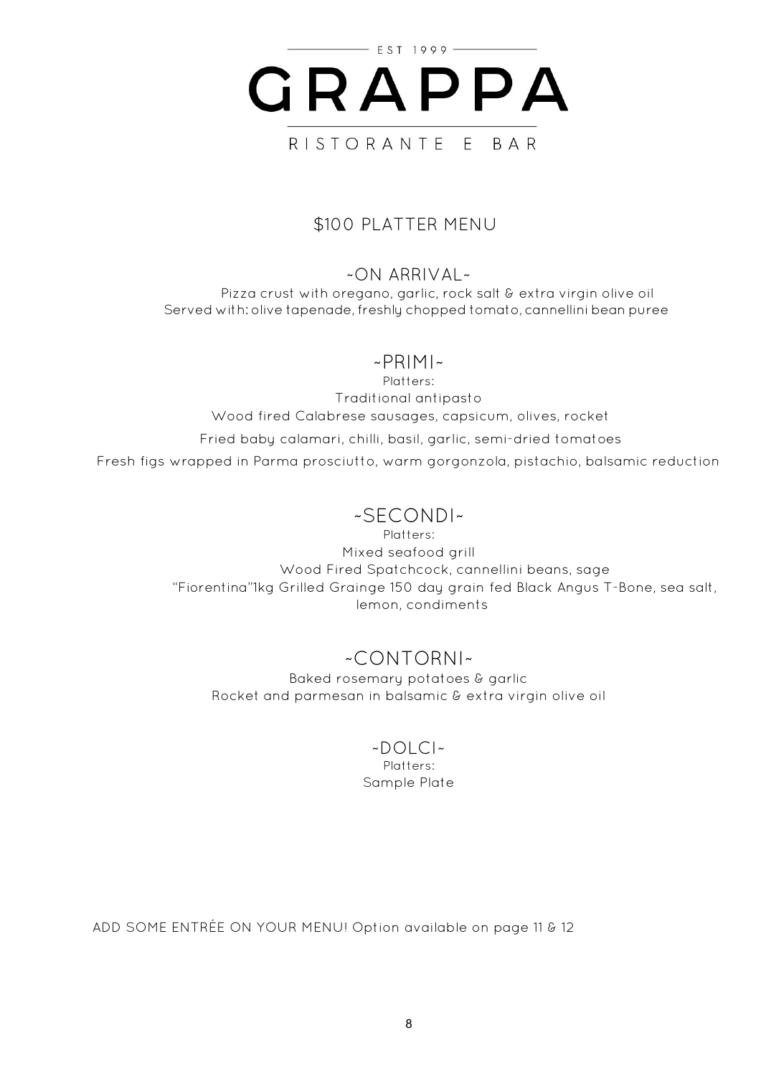

## \$100 PLATTER MENU

### ~ON ARRIVAL~

Pizza crust with oregano, garlic, rock salt & extra virgin olive oil Served with: olive tapenade, freshly chopped tomato, cannellini bean puree

## ~PRIMI~

Platters: Traditional antipasto Wood fired Calabrese sausages, capsicum, olives, rocket

Fried baby calamari, chilli, basil, garlic, semi-dried tomatoes Fresh figs wrapped in Parma prosciutto, warm gorgonzola, pistachio, balsamic reduction

## ~SECONDI~

Platters: Mixed seafood grill Wood Fired Spatchcock, cannellini beans, sage "Fiorentina"1kg Grilled Grainge 150 day grain fed Black Angus T-Bone, sea salt, lemon, condiments

# ~CONTORNI~

Baked rosemary potatoes & garlic Rocket and parmesan in balsamic & extra virgin olive oil

#### ~DOLCI~

Platters: Sample Plate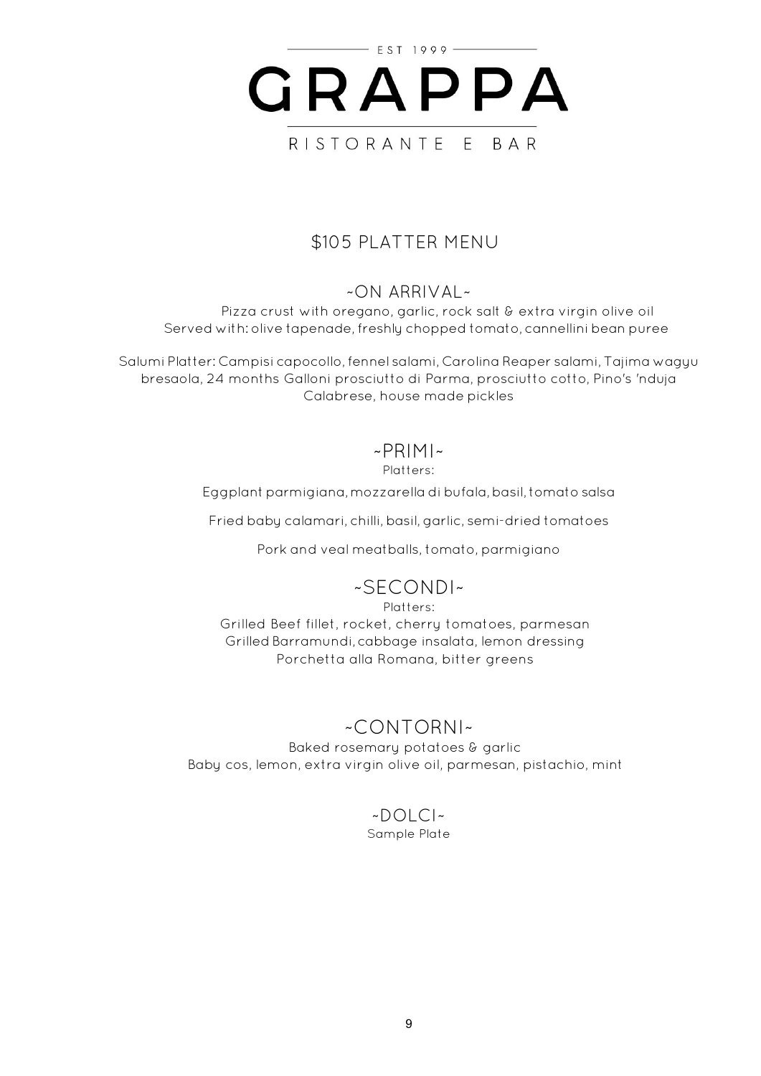

## \$105 PLATTER MENU

## ~ON ARRIVAL~

Pizza crust with oregano, garlic, rock salt & extra virgin olive oil Served with: olive tapenade, freshly chopped tomato, cannellini bean puree

Salumi Platter: Campisi capocollo,fennel salami, Carolina Reaper salami, Tajima wagyu bresaola, 24 months Galloni prosciutto di Parma, prosciutto cotto, Pino's 'nduja Calabrese, house made pickles

### $~\sim$ PRIMI $~\sim$

Platters:

Eggplant parmigiana,mozzarella di bufala,basil, tomato salsa

Fried baby calamari, chilli, basil, garlic, semi-dried tomatoes

Pork and veal meatballs, tomato, parmigiano

## ~SECONDI~

Platters: Grilled Beef fillet, rocket, cherry tomatoes, parmesan Grilled Barramundi, cabbage insalata, lemon dressing Porchetta alla Romana, bitter greens

# ~CONTORNI~

Baked rosemary potatoes & garlic Baby cos, lemon, extra virgin olive oil, parmesan, pistachio, mint

#### ~DOLCI~ Sample Plate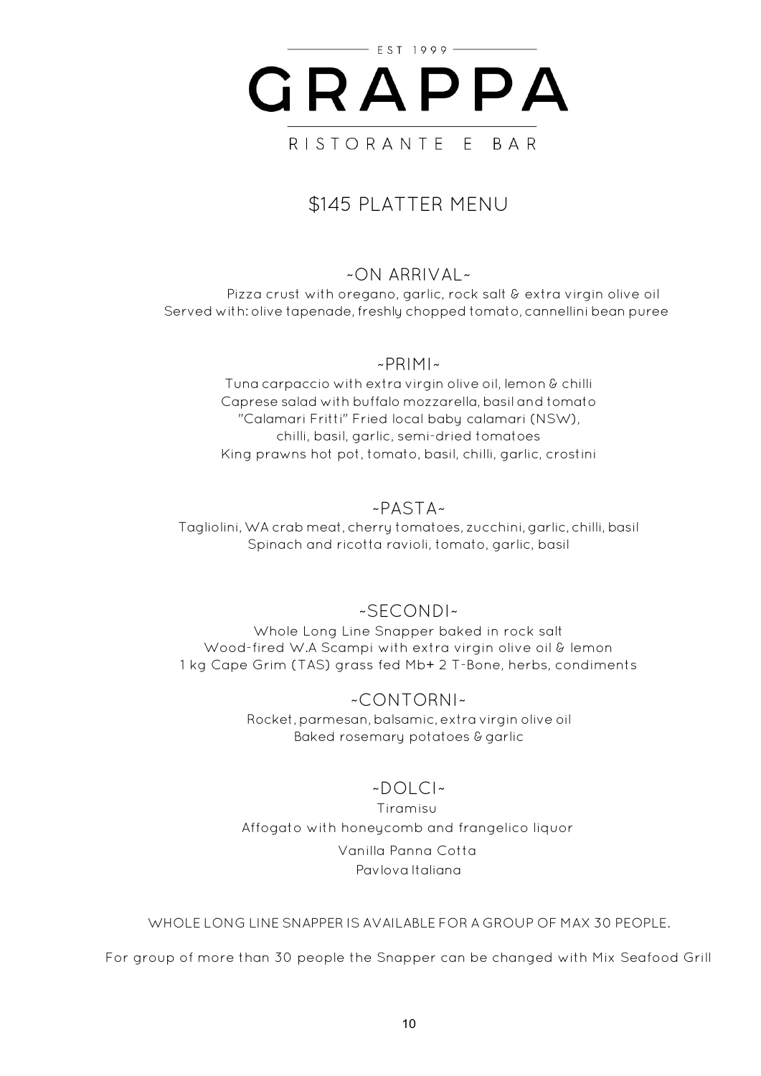

# \$145 PLATTER MENU

## ~ON ARRIVAL~

Pizza crust with oregano, garlic, rock salt & extra virgin olive oil Served with: olive tapenade, freshly chopped tomato, cannellini bean puree

#### ~PRIMI~

Tuna carpaccio with extra virgin olive oil, lemon & chilli Caprese salad with buffalo mozzarella, basil and tomato "Calamari Fritti" Fried local baby calamari (NSW), chilli, basil, garlic, semi-dried tomatoes King prawns hot pot, tomato, basil, chilli, garlic, crostini

### ~PASTA~

Tagliolini,WA crab meat, cherry tomatoes, zucchini,garlic, chilli, basil Spinach and ricotta ravioli, tomato, garlic, basil

#### ~SECONDI~

Whole Long Line Snapper baked in rock salt Wood-fired W.A Scampi with extra virgin olive oil & lemon 1 kg Cape Grim (TAS) grass fed Mb+ 2 T-Bone, herbs, condiments

> ~CONTORNI~ Rocket,parmesan,balsamic, extra virgin olive oil Baked rosemary potatoes & garlic

## $\sim$ DOLCI $\sim$

Tiramisu Affogato with honeycomb and frangelico liquor Vanilla Panna Cotta Pavlova Italiana

WHOLE LONG LINE SNAPPER IS AVAILABLE FOR A GROUP OF MAX 30 PEOPLE.

For group of more than 30 people the Snapper can be changed with Mix Seafood Grill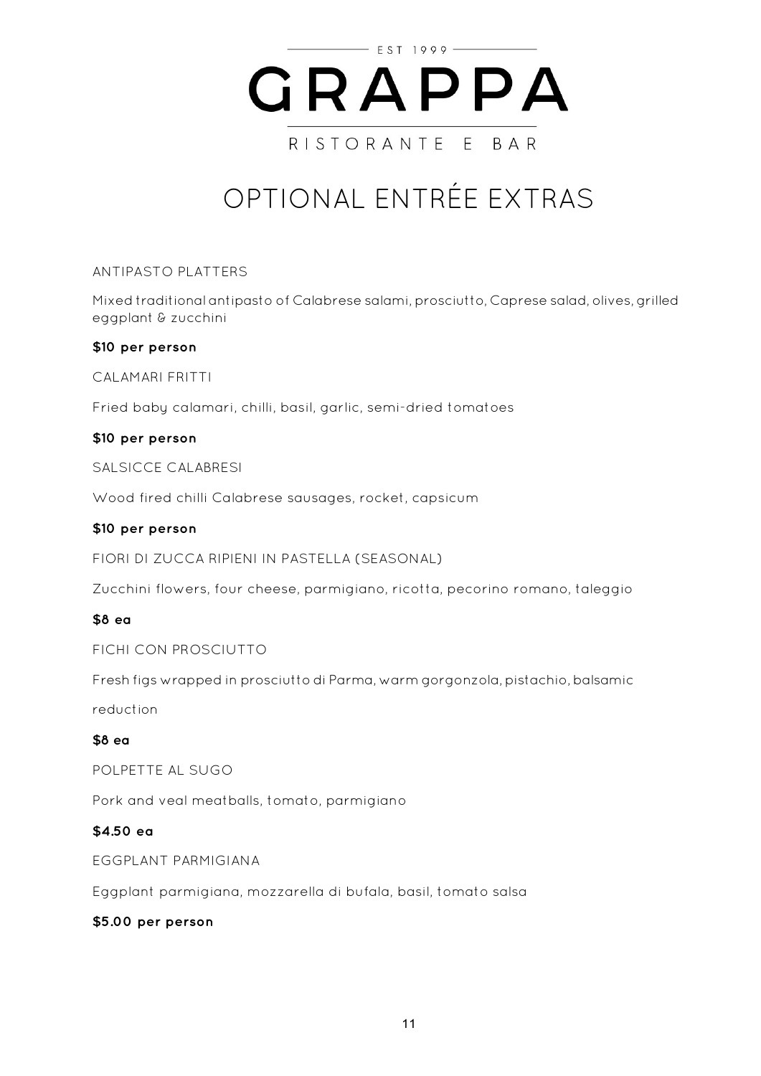

# OPTIONAL ENTRÉE EXTRAS

ANTIPASTO PLATTERS

Mixed traditional antipasto of Calabrese salami, prosciutto, Caprese salad, olives,grilled eggplant & zucchini

#### **\$10 per person**

CALAMARI FRITTI

Fried baby calamari, chilli, basil, garlic, semi-dried tomatoes

#### **\$10 per person**

SALSICCE CALABRESI

Wood fired chilli Calabrese sausages, rocket, capsicum

#### **\$10 per person**

FIORI DI ZUCCA RIPIENI IN PASTELLA (SEASONAL)

Zucchini flowers, four cheese, parmigiano, ricotta, pecorino romano, taleggio

#### **\$8 ea**

FICHI CON PROSCIUTTO

Fresh figs wrapped in prosciutto di Parma, warm gorgonzola, pistachio, balsamic

reduction

#### **\$8 ea**

POLPETTE AL SUGO

Pork and veal meatballs, tomato, parmigiano

#### **\$4.50 ea**

EGGPLANT PARMIGIANA

Eggplant parmigiana, mozzarella di bufala, basil, tomato salsa

#### **\$5.00 per person**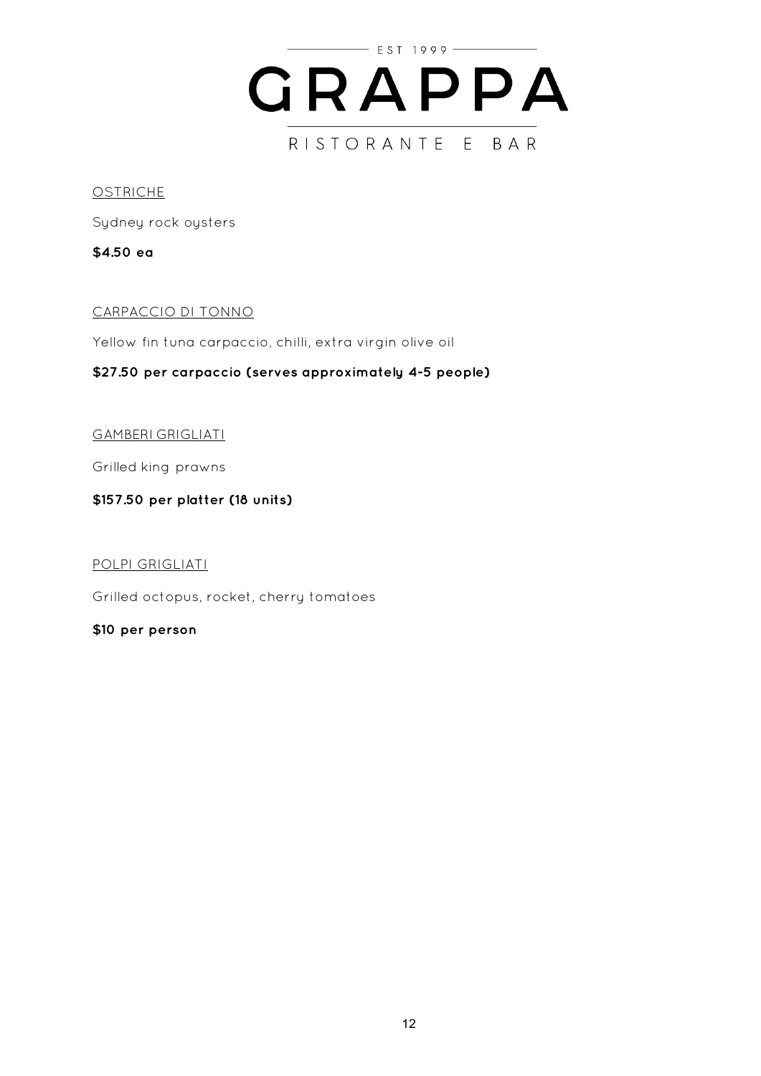

#### **OSTRICHE**

Sydney rock oysters

**\$4.50 ea**

#### CARPACCIO DI TONNO

Yellow fin tuna carpaccio, chilli, extra virgin olive oil

#### **\$27.50 per carpaccio (serves approximately 4-5 people)**

#### GAMBERI GRIGLIATI

Grilled king prawns

#### **\$157.50 per platter (18 units)**

#### POLPI GRIGLIATI

Grilled octopus, rocket, cherry tomatoes

#### **\$10 per person**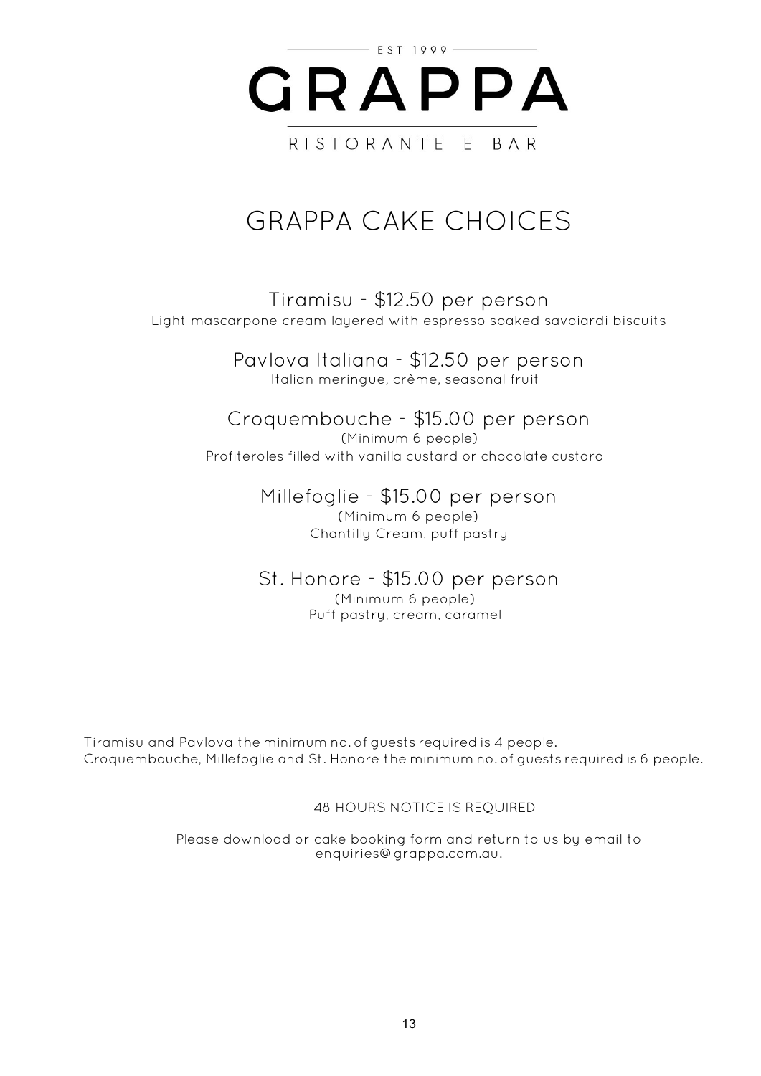

# GRAPPA CAKE CHOICES

Tiramisu - \$12.50 per person Light mascarpone cream layered with espresso soaked savoiardi biscuits

> Pavlova Italiana - \$12.50 per person Italian meringue, crème, seasonal fruit

Croquembouche - \$15.00 per person (Minimum 6 people) Profiteroles filled with vanilla custard or chocolate custard

> Millefoglie - \$15.00 per person (Minimum 6 people) Chantilly Cream, puff pastry

St. Honore - \$15.00 per person (Minimum 6 people) Puff pastry, cream, caramel

Tiramisu and Pavlova the minimum no. of guests required is 4 people. Croquembouche, Millefoglie and St. Honore the minimum no. of guests required is 6 people.

48 HOURS NOTICE IS REQUIRED

Please download or cake booking form and return to us by email to enquiries@grappa.com.au.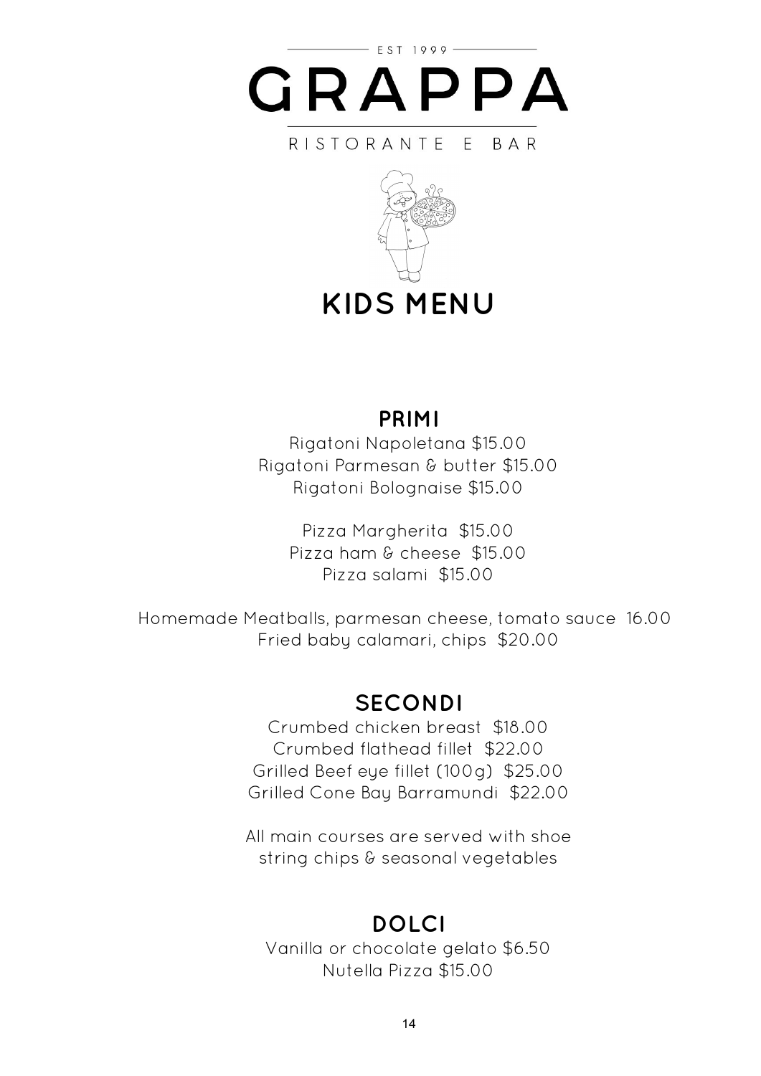

#### RISTORANTE E **BAR**



**KIDS MENU**

# **PRIMI**

Rigatoni Napoletana \$15.00 Rigatoni Parmesan & butter \$15.00 Rigatoni Bolognaise \$15.00

> Pizza Margherita \$15.00 Pizza ham & cheese \$15.00 Pizza salami \$15.00

Homemade Meatballs, parmesan cheese, tomato sauce 16.00 Fried baby calamari, chips \$20.00

# **SECONDI**

Crumbed chicken breast \$18.00 Crumbed flathead fillet \$22.00 Grilled Beef eye fillet (100g) \$25.00 Grilled Cone Bay Barramundi \$22.00

All main courses are served with shoe string chips & seasonal vegetables

# **DOLCI**

Vanilla or chocolate gelato \$6.50 Nutella Pizza \$15.00